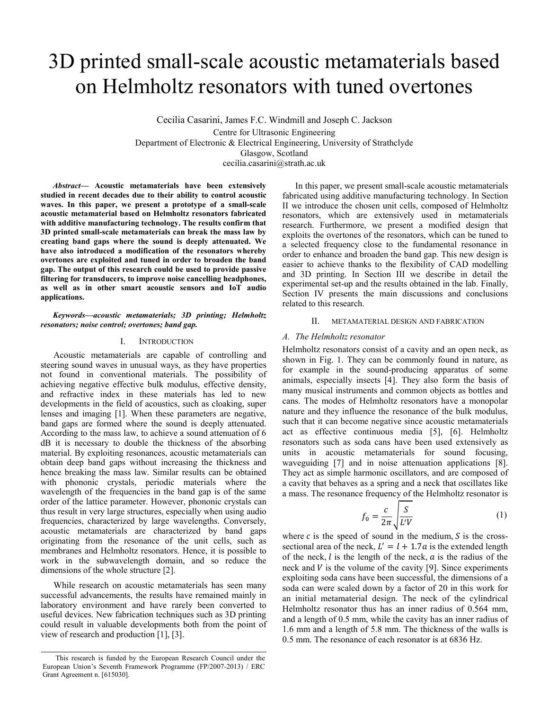# 3D printed small-scale acoustic metamaterials based on Helmholtz resonators with tuned overtones

Cecilia Casarini, James F.C. Windmill and Joseph C. Jackson Centre for Ultrasonic Engineering Department of Electronic & Electrical Engineering, University of Strathclyde Glasgow, Scotland cecilia.casarini@strath.ac.uk

Abstract— Acoustic metamaterials have been extensively studied in recent decades due to their ability to control acoustic waves. In this paper, we present a prototype of a small-scale acoustic metamaterial based on Helmholtz resonators fabricated with additive manufacturing technology. The results confirm that 3D printed small-scale metamaterials can break the mass law by creating band gaps where the sound is deeply attenuated. We have also introduced a modification of the resonators whereby overtones are exploited and tuned in order to broaden the band gap. The output of this research could be used to provide passive filtering for transducers, to improve noise cancelling headphones, as well as in other smart acoustic sensors and IoT audio applications.

## Keywords—acoustic metamaterials; 3D printing; Helmholtz resonators; noise control; overtones; band gap.

## I. INTRODUCTION

Acoustic metamaterials are capable of controlling and steering sound waves in unusual ways, as they have properties not found in conventional materials. The possibility of achieving negative effective bulk modulus, effective density, and refractive index in these materials has led to new developments in the field of acoustics, such as cloaking, super lenses and imaging [1]. When these parameters are negative, band gaps are formed where the sound is deeply attenuated. According to the mass law, to achieve a sound attenuation of 6 dB it is necessary to double the thickness of the absorbing material. By exploiting resonances, acoustic metamaterials can obtain deep band gaps without increasing the thickness and hence breaking the mass law. Similar results can be obtained with phononic crystals, periodic materials where the wavelength of the frequencies in the band gap is of the same order of the lattice parameter. However, phononic crystals can thus result in very large structures, especially when using audio frequencies, characterized by large wavelengths. Conversely, acoustic metamaterials are characterized by band gaps originating from the resonance of the unit cells, such as membranes and Helmholtz resonators. Hence, it is possible to work in the subwavelength domain, and so reduce the dimensions of the whole structure [2].

While research on acoustic metamaterials has seen many successful advancements, the results have remained mainly in laboratory environment and have rarely been converted to useful devices. New fabrication techniques such as 3D printing could result in valuable developments both from the point of view of research and production [1], [3].

In this paper, we present small-scale acoustic metamaterials fabricated using additive manufacturing technology. In Section II we introduce the chosen unit cells, composed of Helmholtz resonators, which are extensively used in metamaterials research. Furthermore, we present a modified design that exploits the overtones of the resonators, which can be tuned to a selected frequency close to the fundamental resonance in order to enhance and broaden the band gap. This new design is easier to achieve thanks to the flexibility of CAD modelling and 3D printing. In Section III we describe in detail the experimental set-up and the results obtained in the lab. Finally, Section IV presents the main discussions and conclusions related to this research.

#### II. METAMATERIAL DESIGN AND FABRICATION

## A. The Helmholtz resonator

Helmholtz resonators consist of a cavity and an open neck, as shown in Fig. 1. They can be commonly found in nature, as for example in the sound-producing apparatus of some animals, especially insects [4]. They also form the basis of many musical instruments and common objects as bottles and cans. The modes of Helmholtz resonators have a monopolar nature and they influence the resonance of the bulk modulus, such that it can become negative since acoustic metamaterials act as effective continuous media [5], [6]. Helmholtz resonators such as soda cans have been used extensively as units in acoustic metamaterials for sound focusing, waveguiding [7] and in noise attenuation applications [8]. They act as simple harmonic oscillators, and are composed of a cavity that behaves as a spring and a neck that oscillates like a mass. The resonance frequency of the Helmholtz resonator is

$$
f_0 = \frac{c}{2\pi} \sqrt{\frac{S}{LV}}\tag{1}
$$

where  $c$  is the speed of sound in the medium,  $S$  is the crosssectional area of the neck,  $L' = l + 1.7a$  is the extended length of the neck,  $l$  is the length of the neck,  $a$  is the radius of the neck and  $V$  is the volume of the cavity [9]. Since experiments exploiting soda cans have been successful, the dimensions of a soda can were scaled down by a factor of 20 in this work for an initial metamaterial design. The neck of the cylindrical Helmholtz resonator thus has an inner radius of 0.564 mm, and a length of 0.5 mm, while the cavity has an inner radius of 1.6 mm and a length of 5.8 mm. The thickness of the walls is 0.5 mm. The resonance of each resonator is at 6836 Hz.

This research is funded by the European Research Council under the European Union's Seventh Framework Programme (FP/2007-2013) / ERC Grant Agreement n. [615030].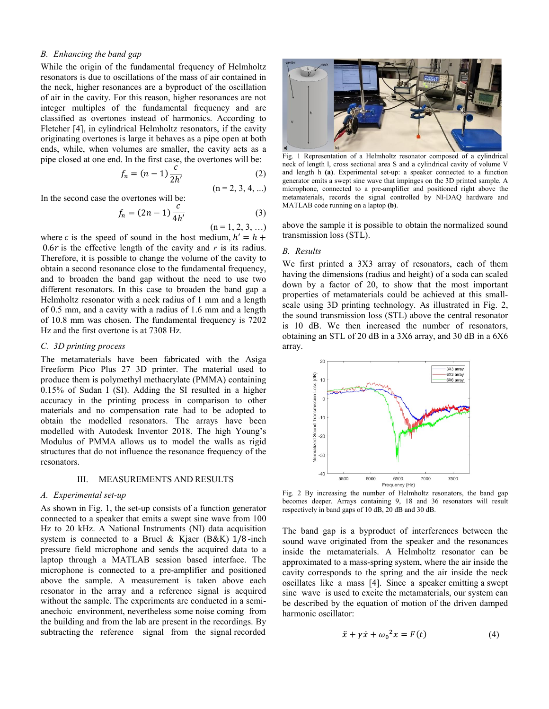# B. Enhancing the band gap

While the origin of the fundamental frequency of Helmholtz resonators is due to oscillations of the mass of air contained in the neck, higher resonances are a byproduct of the oscillation of air in the cavity. For this reason, higher resonances are not integer multiples of the fundamental frequency and are classified as overtones instead of harmonics. According to Fletcher [4], in cylindrical Helmholtz resonators, if the cavity originating overtones is large it behaves as a pipe open at both ends, while, when volumes are smaller, the cavity acts as a pipe closed at one end. In the first case, the overtones will be:

$$
f_n = (n-1)\frac{c^2}{2h'} \tag{2}
$$
\n
$$
(n = 2, 3, 4, ...)
$$

In the second case the overtones will be:

$$
f_n = (2n - 1)\frac{c}{4h'}
$$
 (3)  
(n = 1, 2, 3, ...)

where c is the speed of sound in the host medium,  $h' = h +$ 0.6 $r$  is the effective length of the cavity and  $r$  is its radius. Therefore, it is possible to change the volume of the cavity to obtain a second resonance close to the fundamental frequency, and to broaden the band gap without the need to use two different resonators. In this case to broaden the band gap a Helmholtz resonator with a neck radius of 1 mm and a length of 0.5 mm, and a cavity with a radius of 1.6 mm and a length of 10.8 mm was chosen. The fundamental frequency is 7202 Hz and the first overtone is at 7308 Hz.

## C. 3D printing process

The metamaterials have been fabricated with the Asiga Freeform Pico Plus 27 3D printer. The material used to produce them is polymethyl methacrylate (PMMA) containing 0.15% of Sudan I (SI). Adding the SI resulted in a higher accuracy in the printing process in comparison to other materials and no compensation rate had to be adopted to obtain the modelled resonators. The arrays have been modelled with Autodesk Inventor 2018. The high Young's Modulus of PMMA allows us to model the walls as rigid structures that do not influence the resonance frequency of the resonators.

#### III. MEASUREMENTS AND RESULTS

## A. Experimental set-up

As shown in Fig. 1, the set-up consists of a function generator connected to a speaker that emits a swept sine wave from 100 Hz to 20 kHz. A National Instruments (NI) data acquisition system is connected to a Bruel & Kjaer (B&K) 1/8-inch pressure field microphone and sends the acquired data to a laptop through a MATLAB session based interface. The microphone is connected to a pre-amplifier and positioned above the sample. A measurement is taken above each resonator in the array and a reference signal is acquired without the sample. The experiments are conducted in a semianechoic environment, nevertheless some noise coming from the building and from the lab are present in the recordings. By subtracting the reference signal from the signal recorded



Fig. 1 Representation of a Helmholtz resonator composed of a cylindrical neck of length l, cross sectional area S and a cylindrical cavity of volume V and length h (a). Experimental set-up: a speaker connected to a function generator emits a swept sine wave that impinges on the 3D printed sample. A microphone, connected to a pre-amplifier and positioned right above the metamaterials, records the signal controlled by NI-DAQ hardware and MATLAB code running on a laptop (b).

above the sample it is possible to obtain the normalized sound transmission loss (STL).

# B. Results

We first printed a 3X3 array of resonators, each of them having the dimensions (radius and height) of a soda can scaled down by a factor of 20, to show that the most important properties of metamaterials could be achieved at this smallscale using 3D printing technology. As illustrated in Fig. 2, the sound transmission loss (STL) above the central resonator is 10 dB. We then increased the number of resonators, obtaining an STL of 20 dB in a 3X6 array, and 30 dB in a 6X6 array.



Fig. 2 By increasing the number of Helmholtz resonators, the band gap becomes deeper. Arrays containing 9, 18 and 36 resonators will result respectively in band gaps of 10 dB, 20 dB and 30 dB.

The band gap is a byproduct of interferences between the sound wave originated from the speaker and the resonances inside the metamaterials. A Helmholtz resonator can be approximated to a mass-spring system, where the air inside the cavity corresponds to the spring and the air inside the neck oscillates like a mass [4]. Since a speaker emitting a swept sine wave is used to excite the metamaterials, our system can be described by the equation of motion of the driven damped harmonic oscillator:

$$
\ddot{x} + \gamma \dot{x} + \omega_0^2 x = F(t) \tag{4}
$$